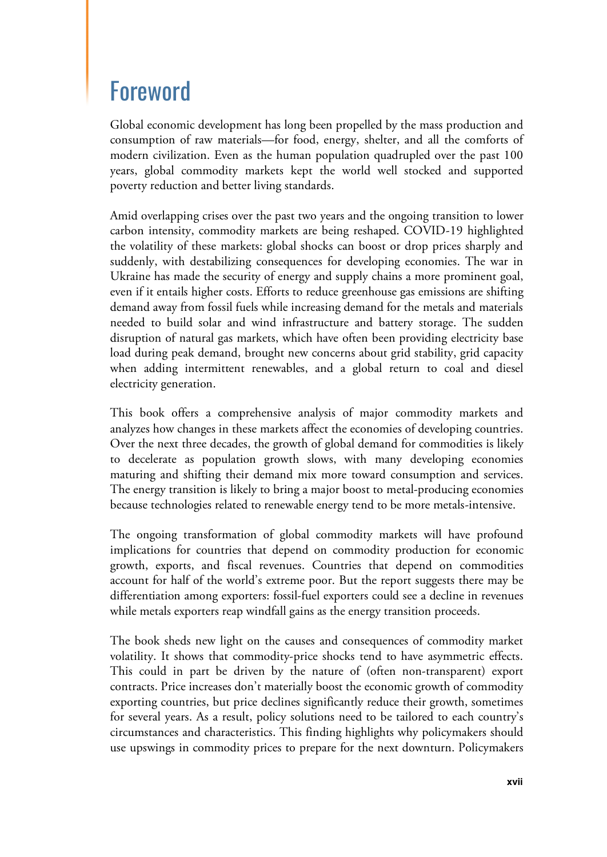## Foreword

Global economic development has long been propelled by the mass production and consumption of raw materials—for food, energy, shelter, and all the comforts of modern civilization. Even as the human population quadrupled over the past 100 years, global commodity markets kept the world well stocked and supported poverty reduction and better living standards.

Amid overlapping crises over the past two years and the ongoing transition to lower carbon intensity, commodity markets are being reshaped. COVID-19 highlighted the volatility of these markets: global shocks can boost or drop prices sharply and suddenly, with destabilizing consequences for developing economies. The war in Ukraine has made the security of energy and supply chains a more prominent goal, even if it entails higher costs. Efforts to reduce greenhouse gas emissions are shifting demand away from fossil fuels while increasing demand for the metals and materials needed to build solar and wind infrastructure and battery storage. The sudden disruption of natural gas markets, which have often been providing electricity base load during peak demand, brought new concerns about grid stability, grid capacity when adding intermittent renewables, and a global return to coal and diesel electricity generation.

This book offers a comprehensive analysis of major commodity markets and analyzes how changes in these markets affect the economies of developing countries. Over the next three decades, the growth of global demand for commodities is likely to decelerate as population growth slows, with many developing economies maturing and shifting their demand mix more toward consumption and services. The energy transition is likely to bring a major boost to metal-producing economies because technologies related to renewable energy tend to be more metals-intensive.

The ongoing transformation of global commodity markets will have profound implications for countries that depend on commodity production for economic growth, exports, and fiscal revenues. Countries that depend on commodities account for half of the world's extreme poor. But the report suggests there may be differentiation among exporters: fossil-fuel exporters could see a decline in revenues while metals exporters reap windfall gains as the energy transition proceeds.

The book sheds new light on the causes and consequences of commodity market volatility. It shows that commodity-price shocks tend to have asymmetric effects. This could in part be driven by the nature of (often non-transparent) export contracts. Price increases don't materially boost the economic growth of commodity exporting countries, but price declines significantly reduce their growth, sometimes for several years. As a result, policy solutions need to be tailored to each country's circumstances and characteristics. This finding highlights why policymakers should use upswings in commodity prices to prepare for the next downturn. Policymakers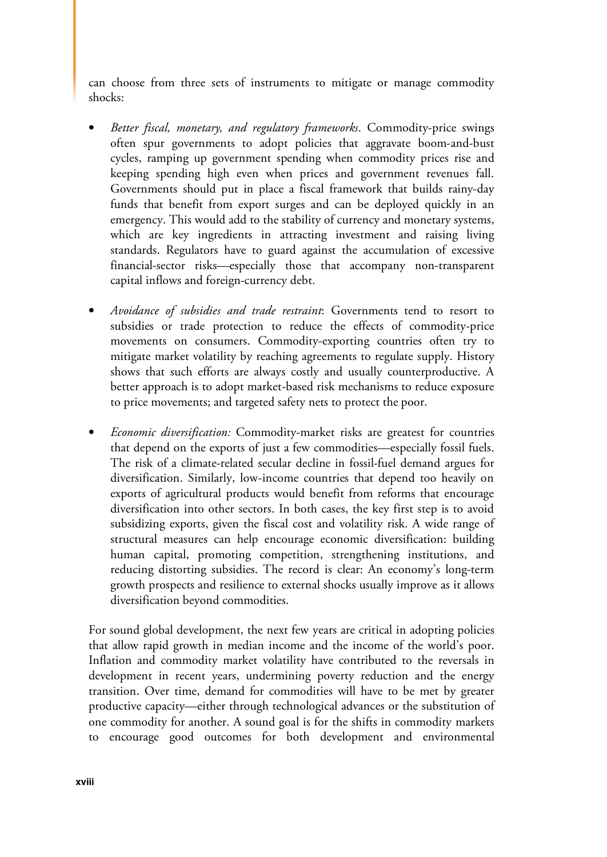can choose from three sets of instruments to mitigate or manage commodity shocks:

- *Better fiscal, monetary, and regulatory frameworks*. Commodity-price swings often spur governments to adopt policies that aggravate boom-and-bust cycles, ramping up government spending when commodity prices rise and keeping spending high even when prices and government revenues fall. Governments should put in place a fiscal framework that builds rainy-day funds that benefit from export surges and can be deployed quickly in an emergency. This would add to the stability of currency and monetary systems, which are key ingredients in attracting investment and raising living standards. Regulators have to guard against the accumulation of excessive financial-sector risks—especially those that accompany non-transparent capital inflows and foreign-currency debt.
- *Avoidance of subsidies and trade restraint*: Governments tend to resort to subsidies or trade protection to reduce the effects of commodity-price movements on consumers. Commodity-exporting countries often try to mitigate market volatility by reaching agreements to regulate supply. History shows that such efforts are always costly and usually counterproductive. A better approach is to adopt market-based risk mechanisms to reduce exposure to price movements; and targeted safety nets to protect the poor.
- *Economic diversification:* Commodity-market risks are greatest for countries that depend on the exports of just a few commodities—especially fossil fuels. The risk of a climate-related secular decline in fossil-fuel demand argues for diversification. Similarly, low-income countries that depend too heavily on exports of agricultural products would benefit from reforms that encourage diversification into other sectors. In both cases, the key first step is to avoid subsidizing exports, given the fiscal cost and volatility risk. A wide range of structural measures can help encourage economic diversification: building human capital, promoting competition, strengthening institutions, and reducing distorting subsidies. The record is clear: An economy's long-term growth prospects and resilience to external shocks usually improve as it allows diversification beyond commodities.

For sound global development, the next few years are critical in adopting policies that allow rapid growth in median income and the income of the world's poor. Inflation and commodity market volatility have contributed to the reversals in development in recent years, undermining poverty reduction and the energy transition. Over time, demand for commodities will have to be met by greater productive capacity—either through technological advances or the substitution of one commodity for another. A sound goal is for the shifts in commodity markets to encourage good outcomes for both development and environmental